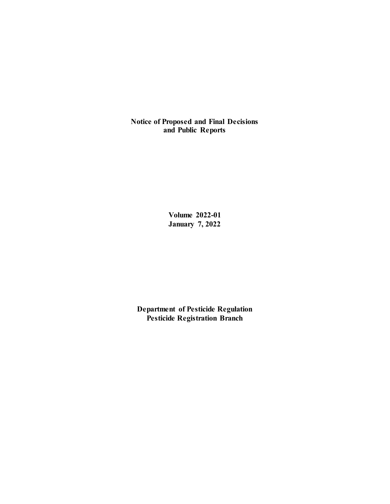**Notice of Proposed and Final Decisions and Public Reports**

> **Volume 2022-01 January 7, 2022**

**Department of Pesticide Regulation Pesticide Registration Branch**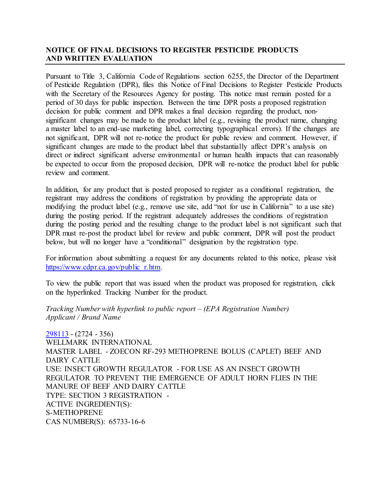# **NOTICE OF FINAL DECISIONS TO REGISTER PESTICIDE PRODUCTS AND WRITTEN EVALUATION**

Pursuant to Title 3, California Code of Regulations section 6255, the Director of the Department of Pesticide Regulation (DPR), files this Notice of Final Decisions to Register Pesticide Products with the Secretary of the Resources Agency for posting. This notice must remain posted for a period of 30 days for public inspection. Between the time DPR posts a proposed registration decision for public comment and DPR makes a final decision regarding the product, nonsignificant changes may be made to the product label (e.g., revising the product name, changing a master label to an end-use marketing label, correcting typographical errors). If the changes are not significant, DPR will not re-notice the product for public review and comment. However, if significant changes are made to the product label that substantially affect DPR's analysis on direct or indirect significant adverse environmental or human health impacts that can reasonably be expected to occur from the proposed decision, DPR will re-notice the product label for public review and comment.

In addition, for any product that is posted proposed to register as a conditional registration, the registrant may address the conditions of registration by providing the appropriate data or modifying the product label (e.g., remove use site, add "not for use in California" to a use site) during the posting period. If the registrant adequately addresses the conditions of registration during the posting period and the resulting change to the product label is not significant such that DPR must re-post the product label for review and public comment, DPR will post the product below, but will no longer have a "conditional" designation by the registration type.

For information about submitting a request for any documents related to this notice, please visit [https://www.cdpr.ca.gov/public\\_r.htm.](https://www.cdpr.ca.gov/public_r.htm)

To view the public report that was issued when the product was proposed for registration, click on the hyperlinked Tracking Number for the product.

*Tracking Number with hyperlink to public report – (EPA Registration Number) Applicant / Brand Name*

[298113](https://www.cdpr.ca.gov/docs/registration/nod/public_reports/298113.pdf) - (2724 - 356) WELLMARK INTERNATIONAL MASTER LABEL - ZOECON RF-293 METHOPRENE BOLUS (CAPLET) BEEF AND DAIRY CATTLE USE: INSECT GROWTH REGULATOR - FOR USE AS AN INSECT GROWTH REGULATOR TO PREVENT THE EMERGENCE OF ADULT HORN FLIES IN THE MANURE OF BEEF AND DAIRY CATTLE TYPE: SECTION 3 REGISTRATION - ACTIVE INGREDIENT(S): S-METHOPRENE CAS NUMBER(S): 65733-16-6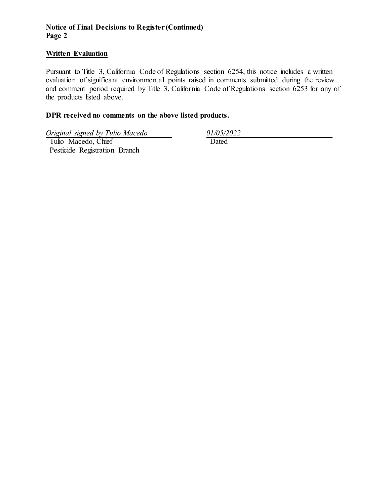# **Notice of Final Decisions to Register (Continued) Page 2**

# **Written Evaluation**

Pursuant to Title 3, California Code of Regulations section 6254, this notice includes a written evaluation of significant environmental points raised in comments submitted during the review and comment period required by Title 3, California Code of Regulations section  $6253$  for any of the products listed above.

### **DPR received no comments on the above listed products.**

*Original signed by Tulio Macedo 01/05/2022* Tulio Macedo, Chief Pesticide Registration Branch

**Dated**